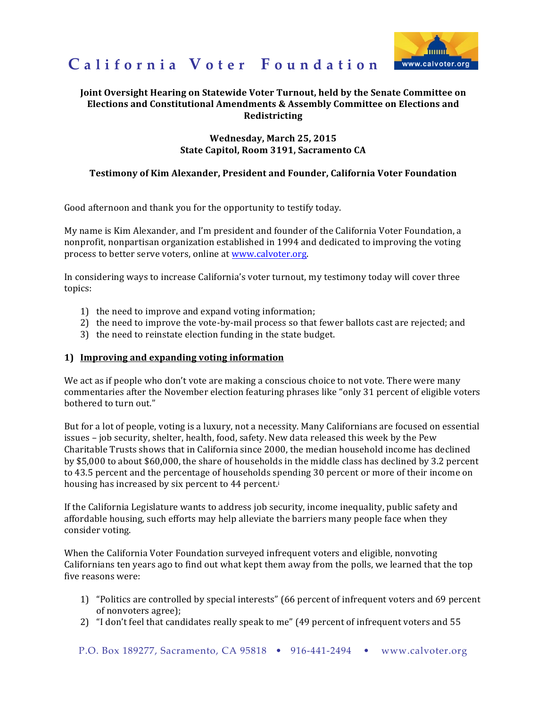

# California Voter Foundation

## Joint Oversight Hearing on Statewide Voter Turnout, held by the Senate Committee on Elections and Constitutional Amendments & Assembly Committee on Elections and **Redistricting**

#### **Wednesday. March 25, 2015** State Capitol, Room 3191, Sacramento CA

#### Testimony of Kim Alexander, President and Founder, California Voter Foundation

Good afternoon and thank you for the opportunity to testify today.

My name is Kim Alexander, and I'm president and founder of the California Voter Foundation, a nonprofit, nonpartisan organization established in 1994 and dedicated to improving the voting process to better serve voters, online at www.calvoter.org.

In considering ways to increase California's voter turnout, my testimony today will cover three topics:

- 1) the need to improve and expand voting information;
- 2) the need to improve the vote-by-mail process so that fewer ballots cast are rejected; and
- 3) the need to reinstate election funding in the state budget.

#### 1) Improving and expanding voting information

We act as if people who don't vote are making a conscious choice to not vote. There were many commentaries after the November election featuring phrases like "only 31 percent of eligible voters" bothered to turn out."

But for a lot of people, voting is a luxury, not a necessity. Many Californians are focused on essential issues - job security, shelter, health, food, safety. New data released this week by the Pew Charitable Trusts shows that in California since 2000, the median household income has declined by \$5,000 to about \$60,000, the share of households in the middle class has declined by 3.2 percent to 43.5 percent and the percentage of households spending 30 percent or more of their income on housing has increased by six percent to 44 percent.i

If the California Legislature wants to address job security, income inequality, public safety and affordable housing, such efforts may help alleviate the barriers many people face when they consider voting.

When the California Voter Foundation surveyed infrequent voters and eligible, nonvoting Californians ten years ago to find out what kept them away from the polls, we learned that the top five reasons were:

- 1) "Politics are controlled by special interests" (66 percent of infrequent voters and 69 percent of nonvoters agree);
- 2) "I don't feel that candidates really speak to me" (49 percent of infrequent voters and 55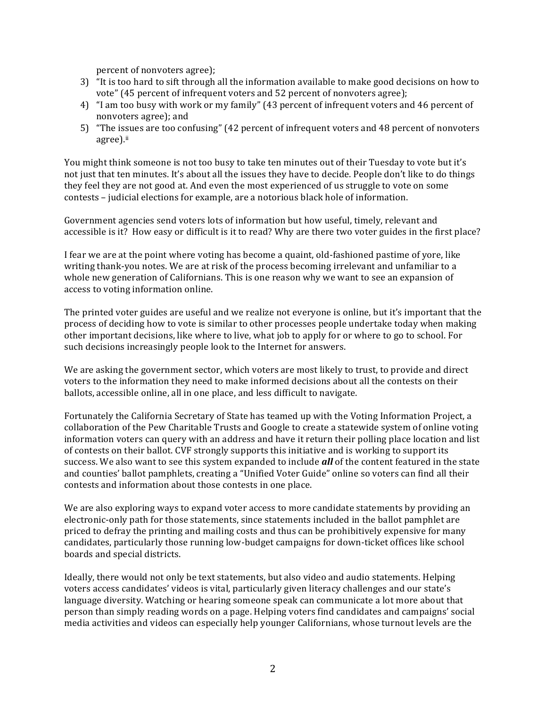percent of nonvoters agree);

- 3) "It is too hard to sift through all the information available to make good decisions on how to vote" (45 percent of infrequent voters and 52 percent of nonvoters agree);
- 4) "I am too busy with work or my family" (43 percent of infrequent voters and 46 percent of nonvoters agree); and
- 5) "The issues are too confusing" (42 percent of infrequent voters and 48 percent of nonvoters agree).ii

You might think someone is not too busy to take ten minutes out of their Tuesday to vote but it's not just that ten minutes. It's about all the issues they have to decide. People don't like to do things they feel they are not good at. And even the most experienced of us struggle to vote on some contests – judicial elections for example, are a notorious black hole of information.

Government agencies send voters lots of information but how useful, timely, relevant and accessible is it? How easy or difficult is it to read? Why are there two voter guides in the first place?

I fear we are at the point where voting has become a quaint, old-fashioned pastime of yore, like writing thank-you notes. We are at risk of the process becoming irrelevant and unfamiliar to a whole new generation of Californians. This is one reason why we want to see an expansion of access to voting information online.

The printed voter guides are useful and we realize not everyone is online, but it's important that the process of deciding how to vote is similar to other processes people undertake today when making other important decisions, like where to live, what job to apply for or where to go to school. For such decisions increasingly people look to the Internet for answers.

We are asking the government sector, which voters are most likely to trust, to provide and direct voters to the information they need to make informed decisions about all the contests on their ballots, accessible online, all in one place, and less difficult to navigate.

Fortunately the California Secretary of State has teamed up with the Voting Information Project, a collaboration of the Pew Charitable Trusts and Google to create a statewide system of online voting information voters can query with an address and have it return their polling place location and list of contests on their ballot. CVF strongly supports this initiative and is working to support its success. We also want to see this system expanded to include *all* of the content featured in the state and counties' ballot pamphlets, creating a "Unified Voter Guide" online so voters can find all their contests and information about those contests in one place.

We are also exploring ways to expand voter access to more candidate statements by providing an electronic-only path for those statements, since statements included in the ballot pamphlet are priced to defray the printing and mailing costs and thus can be prohibitively expensive for many candidates, particularly those running low-budget campaigns for down-ticket offices like school boards and special districts.

Ideally, there would not only be text statements, but also video and audio statements. Helping voters access candidates' videos is vital, particularly given literacy challenges and our state's language diversity. Watching or hearing someone speak can communicate a lot more about that person than simply reading words on a page. Helping voters find candidates and campaigns' social media activities and videos can especially help younger Californians, whose turnout levels are the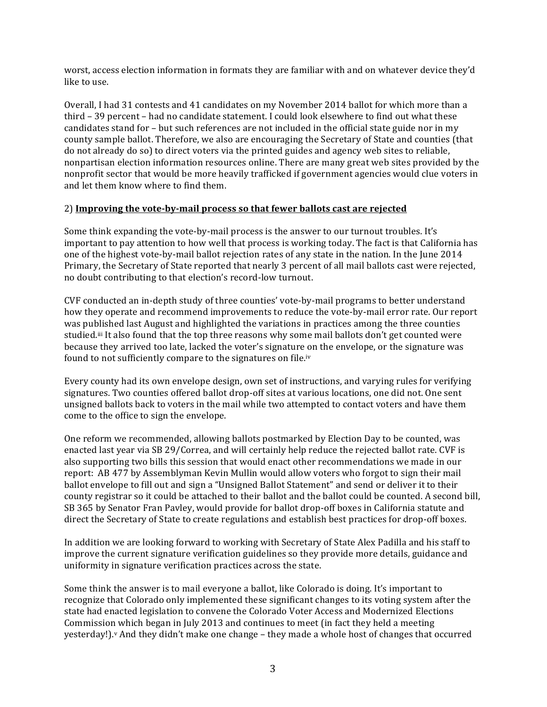worst, access election information in formats they are familiar with and on whatever device they'd like to use.

Overall, I had 31 contests and 41 candidates on my November 2014 ballot for which more than a third – 39 percent – had no candidate statement. I could look elsewhere to find out what these candidates stand for – but such references are not included in the official state guide nor in my county sample ballot. Therefore, we also are encouraging the Secretary of State and counties (that do not already do so) to direct voters via the printed guides and agency web sites to reliable, nonpartisan election information resources online. There are many great web sites provided by the nonprofit sector that would be more heavily trafficked if government agencies would clue voters in and let them know where to find them.

### 2) Improving the vote-by-mail process so that fewer ballots cast are rejected

Some think expanding the vote-by-mail process is the answer to our turnout troubles. It's important to pay attention to how well that process is working today. The fact is that California has one of the highest vote-by-mail ballot rejection rates of any state in the nation. In the June 2014 Primary, the Secretary of State reported that nearly 3 percent of all mail ballots cast were rejected, no doubt contributing to that election's record-low turnout.

CVF conducted an in-depth study of three counties' vote-by-mail programs to better understand how they operate and recommend improvements to reduce the vote-by-mail error rate. Our report was published last August and highlighted the variations in practices among the three counties studied.<sup>iii</sup> It also found that the top three reasons why some mail ballots don't get counted were because they arrived too late, lacked the voter's signature on the envelope, or the signature was found to not sufficiently compare to the signatures on file.iv

Every county had its own envelope design, own set of instructions, and varying rules for verifying signatures. Two counties offered ballot drop-off sites at various locations, one did not. One sent unsigned ballots back to voters in the mail while two attempted to contact voters and have them come to the office to sign the envelope.

One reform we recommended, allowing ballots postmarked by Election Day to be counted, was enacted last year via SB 29/Correa, and will certainly help reduce the rejected ballot rate. CVF is also supporting two bills this session that would enact other recommendations we made in our report: AB 477 by Assemblyman Kevin Mullin would allow voters who forgot to sign their mail ballot envelope to fill out and sign a "Unsigned Ballot Statement" and send or deliver it to their county registrar so it could be attached to their ballot and the ballot could be counted. A second bill, SB 365 by Senator Fran Pavley, would provide for ballot drop-off boxes in California statute and direct the Secretary of State to create regulations and establish best practices for drop-off boxes.

In addition we are looking forward to working with Secretary of State Alex Padilla and his staff to improve the current signature verification guidelines so they provide more details, guidance and uniformity in signature verification practices across the state.

Some think the answer is to mail everyone a ballot, like Colorado is doing. It's important to recognize that Colorado only implemented these significant changes to its voting system after the state had enacted legislation to convene the Colorado Voter Access and Modernized Elections Commission which began in July 2013 and continues to meet (in fact they held a meeting yesterday!).<sup>v</sup> And they didn't make one change – they made a whole host of changes that occurred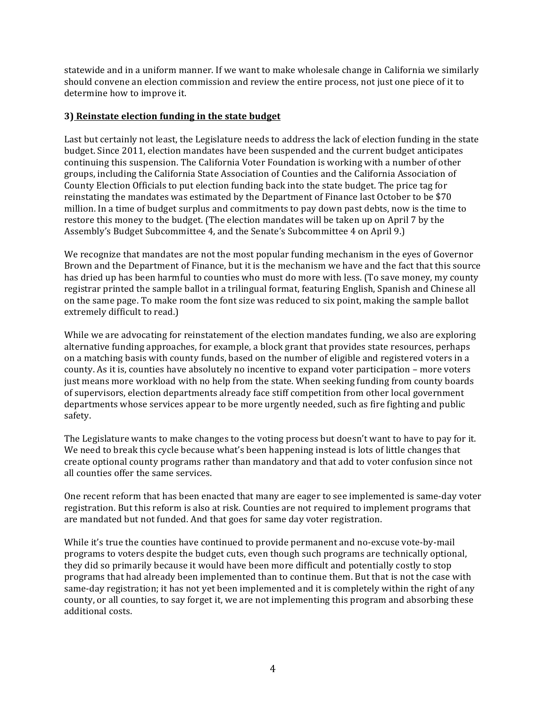statewide and in a uniform manner. If we want to make wholesale change in California we similarly should convene an election commission and review the entire process, not just one piece of it to determine how to improve it.

#### **3)** Reinstate election funding in the state budget

Last but certainly not least, the Legislature needs to address the lack of election funding in the state budget. Since 2011, election mandates have been suspended and the current budget anticipates continuing this suspension. The California Voter Foundation is working with a number of other groups, including the California State Association of Counties and the California Association of County Election Officials to put election funding back into the state budget. The price tag for reinstating the mandates was estimated by the Department of Finance last October to be \$70 million. In a time of budget surplus and commitments to pay down past debts, now is the time to restore this money to the budget. (The election mandates will be taken up on April 7 by the Assembly's Budget Subcommittee 4, and the Senate's Subcommittee 4 on April 9.)

We recognize that mandates are not the most popular funding mechanism in the eyes of Governor Brown and the Department of Finance, but it is the mechanism we have and the fact that this source has dried up has been harmful to counties who must do more with less. (To save money, my county registrar printed the sample ballot in a trilingual format, featuring English, Spanish and Chinese all on the same page. To make room the font size was reduced to six point, making the sample ballot extremely difficult to read.)

While we are advocating for reinstatement of the election mandates funding, we also are exploring alternative funding approaches, for example, a block grant that provides state resources, perhaps on a matching basis with county funds, based on the number of eligible and registered voters in a county. As it is, counties have absolutely no incentive to expand voter participation – more voters just means more workload with no help from the state. When seeking funding from county boards of supervisors, election departments already face stiff competition from other local government departments whose services appear to be more urgently needed, such as fire fighting and public safety.

The Legislature wants to make changes to the voting process but doesn't want to have to pay for it. We need to break this cycle because what's been happening instead is lots of little changes that create optional county programs rather than mandatory and that add to voter confusion since not all counties offer the same services.

One recent reform that has been enacted that many are eager to see implemented is same-day voter registration. But this reform is also at risk. Counties are not required to implement programs that are mandated but not funded. And that goes for same day voter registration.

While it's true the counties have continued to provide permanent and no-excuse vote-by-mail programs to voters despite the budget cuts, even though such programs are technically optional, they did so primarily because it would have been more difficult and potentially costly to stop programs that had already been implemented than to continue them. But that is not the case with same-day registration; it has not yet been implemented and it is completely within the right of any county, or all counties, to say forget it, we are not implementing this program and absorbing these additional costs.